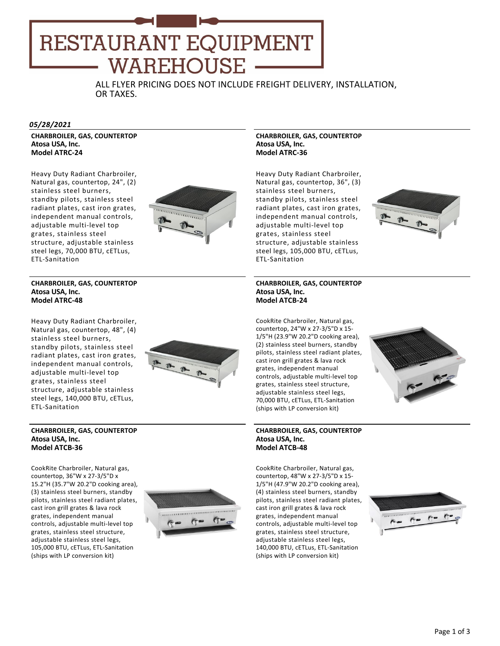# RESTAURANT EQUIPMENT **WAREHOUSE**

ALL FLYER PRICING DOES NOT INCLUDE FREIGHT DELIVERY, INSTALLATION, OR TAXES.

#### *05/28/2021*

**CHARBROILER, GAS, COUNTERTOP Atosa USA, Inc. Model ATRC‐24**

Heavy Duty Radiant Charbroiler, Natural gas, countertop, 24", (2) stainless steel burners, standby pilots, stainless steel radiant plates, cast iron grates, independent manual controls, adjustable multi‐level top grates, stainless steel structure, adjustable stainless steel legs, 70,000 BTU, cETLus, ETL‐Sanitation



## **CHARBROILER, GAS, COUNTERTOP Atosa USA, Inc. Model ATRC‐48**

Heavy Duty Radiant Charbroiler, Natural gas, countertop, 48", (4) stainless steel burners, standby pilots, stainless steel radiant plates, cast iron grates, independent manual controls, adjustable multi‐level top grates, stainless steel structure, adjustable stainless steel legs, 140,000 BTU, cETLus, ETL‐Sanitation



#### **CHARBROILER, GAS, COUNTERTOP Atosa USA, Inc. Model ATCB‐36**

CookRite Charbroiler, Natural gas, countertop, 36"W x 27‐3/5"D x 15.2"H (35.7"W 20.2"D cooking area), (3) stainless steel burners, standby pilots, stainless steel radiant plates, cast iron grill grates & lava rock grates, independent manual controls, adjustable multi‐level top grates, stainless steel structure, adjustable stainless steel legs, 105,000 BTU, cETLus, ETL‐Sanitation (ships with LP conversion kit)



## **CHARBROILER, GAS, COUNTERTOP Atosa USA, Inc. Model ATRC‐36**

Heavy Duty Radiant Charbroiler, Natural gas, countertop, 36", (3) stainless steel burners, standby pilots, stainless steel radiant plates, cast iron grates, independent manual controls, adjustable multi‐level top grates, stainless steel structure, adjustable stainless steel legs, 105,000 BTU, cETLus, ETL‐Sanitation



#### **CHARBROILER, GAS, COUNTERTOP Atosa USA, Inc. Model ATCB‐24**

CookRite Charbroiler, Natural gas, countertop, 24"W x 27‐3/5"D x 15‐ 1/5"H (23.9"W 20.2"D cooking area), (2) stainless steel burners, standby pilots, stainless steel radiant plates, cast iron grill grates & lava rock grates, independent manual controls, adjustable multi‐level top grates, stainless steel structure, adjustable stainless steel legs. 70,000 BTU, cETLus, ETL‐Sanitation (ships with LP conversion kit)



#### **CHARBROILER, GAS, COUNTERTOP Atosa USA, Inc. Model ATCB‐48**

CookRite Charbroiler, Natural gas, countertop, 48"W x 27‐3/5"D x 15‐ 1/5"H (47.9"W 20.2"D cooking area), (4) stainless steel burners, standby pilots, stainless steel radiant plates, cast iron grill grates & lava rock grates, independent manual controls, adjustable multi‐level top grates, stainless steel structure, adjustable stainless steel legs, 140,000 BTU, cETLus, ETL‐Sanitation (ships with LP conversion kit)

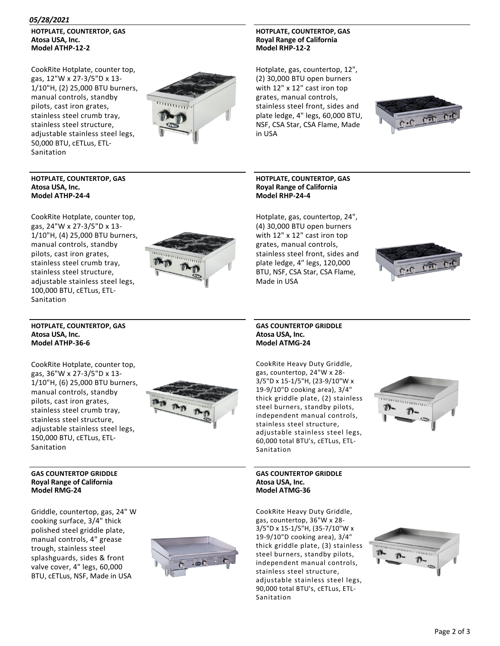## *05/28/2021*

**HOTPLATE, COUNTERTOP, GAS Atosa USA, Inc. Model ATHP‐12‐2**

CookRite Hotplate, counter top, gas, 12"W x 27‐3/5"D x 13‐ 1/10"H, (2) 25,000 BTU burners, manual controls, standby pilots, cast iron grates, stainless steel crumb tray, stainless steel structure, adjustable stainless steel legs, 50,000 BTU, cETLus, ETL‐ Sanitation



**HOTPLATE, COUNTERTOP, GAS Royal Range of California Model RHP‐12‐2**

Hotplate, gas, countertop, 12", (2) 30,000 BTU open burners with 12" x 12" cast iron top grates, manual controls, stainless steel front, sides and plate ledge, 4" legs, 60,000 BTU, NSF, CSA Star, CSA Flame, Made in USA



## **HOTPLATE, COUNTERTOP, GAS Atosa USA, Inc. Model ATHP‐24‐4**

CookRite Hotplate, counter top, gas, 24"W x 27‐3/5"D x 13‐ 1/10"H, (4) 25,000 BTU burners, manual controls, standby pilots, cast iron grates, stainless steel crumb tray, stainless steel structure, adjustable stainless steel legs, 100,000 BTU, cETLus, ETL‐ Sanitation



## **HOTPLATE, COUNTERTOP, GAS Royal Range of California Model RHP‐24‐4**

Hotplate, gas, countertop, 24", (4) 30,000 BTU open burners with 12" x 12" cast iron top grates, manual controls, stainless steel front, sides and plate ledge, 4" legs, 120,000 BTU, NSF, CSA Star, CSA Flame, Made in USA



## **HOTPLATE, COUNTERTOP, GAS Atosa USA, Inc. Model ATHP‐36‐6**

CookRite Hotplate, counter top, gas, 36"W x 27‐3/5"D x 13‐ 1/10"H, (6) 25,000 BTU burners, manual controls, standby pilots, cast iron grates, stainless steel crumb tray, stainless steel structure, adjustable stainless steel legs, 150,000 BTU, cETLus, ETL‐ Sanitation



# **GAS COUNTERTOP GRIDDLE Royal Range of California Model RMG‐24**

Griddle, countertop, gas, 24" W cooking surface, 3/4" thick polished steel griddle plate, manual controls, 4" grease trough, stainless steel splashguards, sides & front valve cover, 4" legs, 60,000 BTU, cETLus, NSF, Made in USA



## **GAS COUNTERTOP GRIDDLE Atosa USA, Inc. Model ATMG‐24**

CookRite Heavy Duty Griddle, gas, countertop, 24"W x 28‐ 3/5"D x 15‐1/5"H, (23‐9/10"W x 19‐9/10"D cooking area), 3/4" thick griddle plate, (2) stainless steel burners, standby pilots, independent manual controls, stainless steel structure, adjustable stainless steel legs, 60,000 total BTU's, cETLus, ETL‐ Sanitation



## **GAS COUNTERTOP GRIDDLE Atosa USA, Inc. Model ATMG‐36**

CookRite Heavy Duty Griddle, gas, countertop, 36"W x 28‐ 3/5"D x 15‐1/5"H, (35‐7/10"W x 19‐9/10"D cooking area), 3/4" thick griddle plate, (3) stainless steel burners, standby pilots, independent manual controls, stainless steel structure, adjustable stainless steel legs, 90,000 total BTU's, cETLus, ETL‐ Sanitation